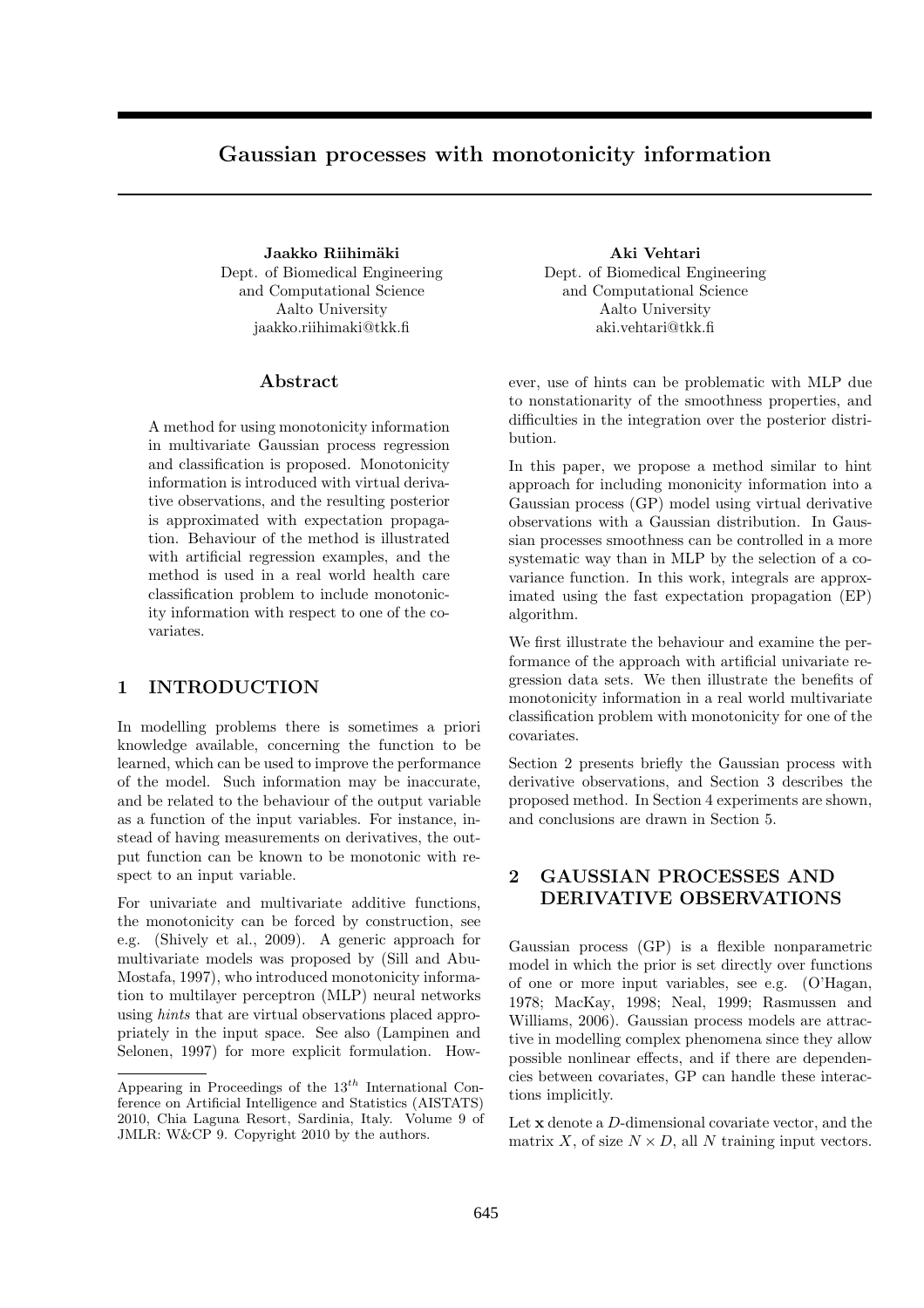# Gaussian processes with monotonicity information

Jaakko Riihimäki asutata kuulusta kuulusta asuta yhteen valtaa kuulusta kuulusta kuulusta kuulusta kuulusta ku Dept. of Biomedical Engineering and Computational Science Aalto University jaakko.riihimaki@tkk.fi

## Abstract

A method for using monotonicity information in multivariate Gaussian process regression and classification is proposed. Monotonicity information is introduced with virtual derivative observations, and the resulting posterior is approximated with expectation propagation. Behaviour of the method is illustrated with artificial regression examples, and the method is used in a real world health care classification problem to include monotonicity information with respect to one of the covariates.

## 1 INTRODUCTION

In modelling problems there is sometimes a priori knowledge available, concerning the function to be learned, which can be used to improve the performance of the model. Such information may be inaccurate, and be related to the behaviour of the output variable as a function of the input variables. For instance, instead of having measurements on derivatives, the output function can be known to be monotonic with respect to an input variable.

For univariate and multivariate additive functions, the monotonicity can be forced by construction, see e.g. (Shively et al., 2009). A generic approach for multivariate models was proposed by (Sill and Abu-Mostafa, 1997), who introduced monotonicity information to multilayer perceptron (MLP) neural networks using hints that are virtual observations placed appropriately in the input space. See also (Lampinen and Selonen, 1997) for more explicit formulation. HowDept. of Biomedical Engineering and Computational Science Aalto University aki.vehtari@tkk.fi

ever, use of hints can be problematic with MLP due to nonstationarity of the smoothness properties, and difficulties in the integration over the posterior distribution.

In this paper, we propose a method similar to hint approach for including mononicity information into a Gaussian process (GP) model using virtual derivative observations with a Gaussian distribution. In Gaussian processes smoothness can be controlled in a more systematic way than in MLP by the selection of a covariance function. In this work, integrals are approximated using the fast expectation propagation (EP) algorithm.

We first illustrate the behaviour and examine the performance of the approach with artificial univariate regression data sets. We then illustrate the benefits of monotonicity information in a real world multivariate classification problem with monotonicity for one of the covariates.

Section 2 presents briefly the Gaussian process with derivative observations, and Section 3 describes the proposed method. In Section 4 experiments are shown, and conclusions are drawn in Section 5.

## 2 GAUSSIAN PROCESSES AND DERIVATIVE OBSERVATIONS

Gaussian process (GP) is a flexible nonparametric model in which the prior is set directly over functions of one or more input variables, see e.g. (O'Hagan, 1978; MacKay, 1998; Neal, 1999; Rasmussen and Williams, 2006). Gaussian process models are attractive in modelling complex phenomena since they allow possible nonlinear effects, and if there are dependencies between covariates, GP can handle these interactions implicitly.

Let x denote a D-dimensional covariate vector, and the matrix X, of size  $N \times D$ , all N training input vectors.

Appearing in Proceedings of the  $13^{th}$  International Conference on Artificial Intelligence and Statistics (AISTATS) 2010, Chia Laguna Resort, Sardinia, Italy. Volume 9 of JMLR: W&CP 9. Copyright 2010 by the authors.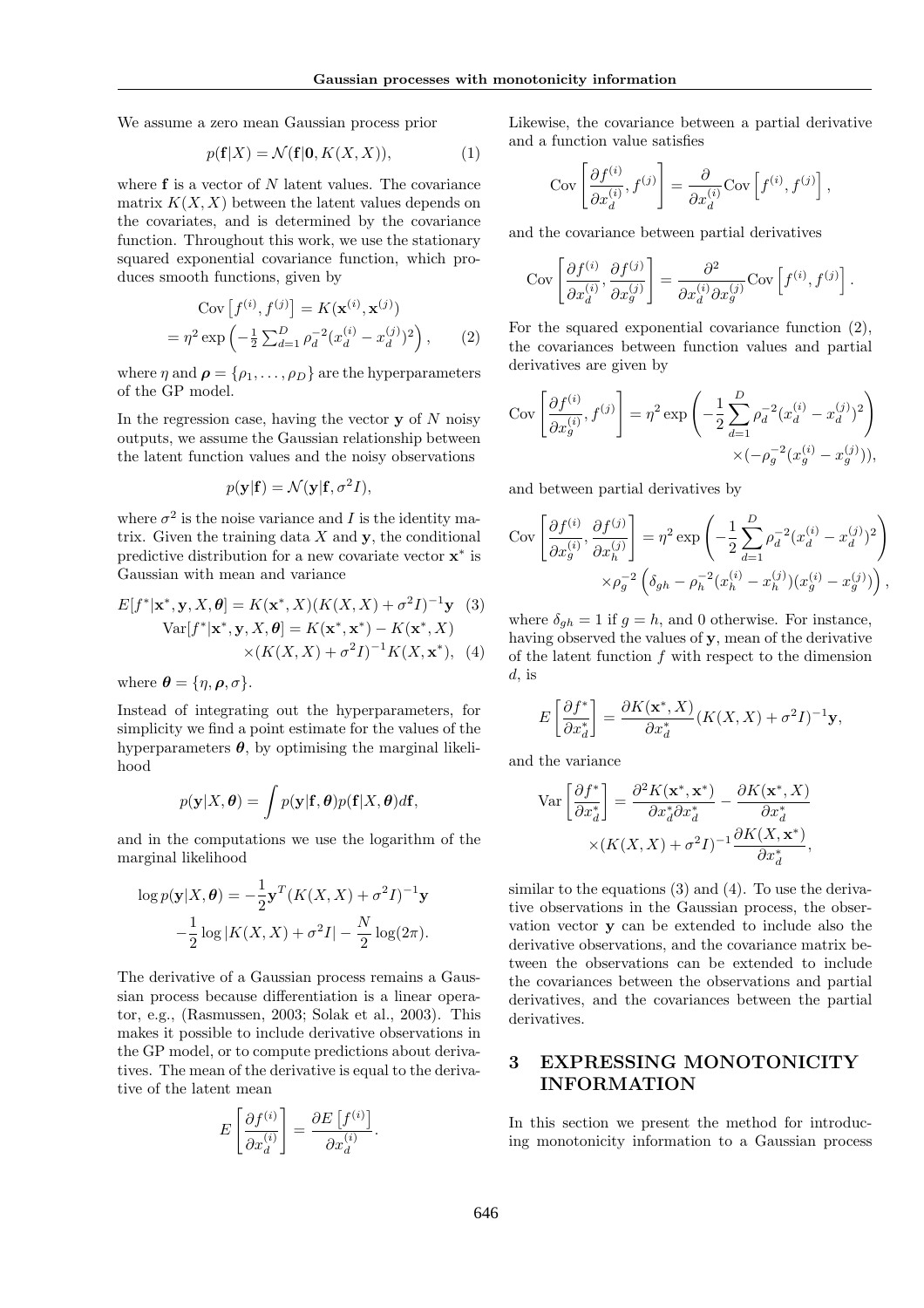We assume a zero mean Gaussian process prior

$$
p(\mathbf{f}|X) = \mathcal{N}(\mathbf{f}|\mathbf{0}, K(X, X)),\tag{1}
$$

where  $f$  is a vector of  $N$  latent values. The covariance matrix  $K(X, X)$  between the latent values depends on the covariates, and is determined by the covariance function. Throughout this work, we use the stationary squared exponential covariance function, which produces smooth functions, given by

Cov 
$$
[f^{(i)}, f^{(j)}] = K(\mathbf{x}^{(i)}, \mathbf{x}^{(j)})
$$
  
=  $\eta^2 \exp\left(-\frac{1}{2}\sum_{d=1}^D \rho_d^{-2}(x_d^{(i)} - x_d^{(j)})^2\right)$ , (2)

where  $\eta$  and  $\rho = {\rho_1, \ldots, \rho_D}$  are the hyperparameters of the GP model.

In the regression case, having the vector  $\bf{y}$  of N noisy outputs, we assume the Gaussian relationship between the latent function values and the noisy observations

$$
p(\mathbf{y}|\mathbf{f}) = \mathcal{N}(\mathbf{y}|\mathbf{f}, \sigma^2 I),
$$

where  $\sigma^2$  is the noise variance and I is the identity matrix. Given the training data  $X$  and  $\mathbf{v}$ , the conditional predictive distribution for a new covariate vector  $\mathbf{x}^*$  is Gaussian with mean and variance

$$
E[f^*|\mathbf{x}^*, \mathbf{y}, X, \theta] = K(\mathbf{x}^*, X)(K(X, X) + \sigma^2 I)^{-1} \mathbf{y}
$$
 (3)  
Var[f^\*|\mathbf{x}^\*, \mathbf{y}, X, \theta] = K(\mathbf{x}^\*, \mathbf{x}^\*) - K(\mathbf{x}^\*, X)  

$$
\times (K(X, X) + \sigma^2 I)^{-1} K(X, \mathbf{x}^*),
$$
 (4)

where  $\boldsymbol{\theta} = \{\eta, \boldsymbol{\rho}, \sigma\}.$ 

 $=$ 

Instead of integrating out the hyperparameters, for simplicity we find a point estimate for the values of the hyperparameters  $\theta$ , by optimising the marginal likelihood

$$
p(\mathbf{y}|X,\boldsymbol{\theta}) = \int p(\mathbf{y}|\mathbf{f},\boldsymbol{\theta})p(\mathbf{f}|X,\boldsymbol{\theta})d\mathbf{f},
$$

and in the computations we use the logarithm of the marginal likelihood

$$
\log p(\mathbf{y}|X,\boldsymbol{\theta}) = -\frac{1}{2}\mathbf{y}^T (K(X,X) + \sigma^2 I)^{-1}\mathbf{y}
$$

$$
-\frac{1}{2}\log |K(X,X) + \sigma^2 I| - \frac{N}{2}\log(2\pi).
$$

The derivative of a Gaussian process remains a Gaussian process because differentiation is a linear operator, e.g., (Rasmussen, 2003; Solak et al., 2003). This makes it possible to include derivative observations in the GP model, or to compute predictions about derivatives. The mean of the derivative is equal to the derivative of the latent mean

$$
E\left[\frac{\partial f^{(i)}}{\partial x_d^{(i)}}\right] = \frac{\partial E\left[f^{(i)}\right]}{\partial x_d^{(i)}}.
$$

Likewise, the covariance between a partial derivative and a function value satisfies

$$
Cov\left[\frac{\partial f^{(i)}}{\partial x_d^{(i)}}, f^{(j)}\right] = \frac{\partial}{\partial x_d^{(i)}} Cov\left[f^{(i)}, f^{(j)}\right],
$$

and the covariance between partial derivatives

$$
Cov\left[\frac{\partial f^{(i)}}{\partial x_d^{(i)}}, \frac{\partial f^{(j)}}{\partial x_g^{(j)}}\right] = \frac{\partial^2}{\partial x_d^{(i)} \partial x_g^{(j)}} Cov\left[f^{(i)}, f^{(j)}\right].
$$

For the squared exponential covariance function (2), the covariances between function values and partial derivatives are given by

$$
Cov\left[\frac{\partial f^{(i)}}{\partial x_g^{(i)}}, f^{(j)}\right] = \eta^2 \exp\left(-\frac{1}{2} \sum_{d=1}^D \rho_d^{-2} (x_d^{(i)} - x_d^{(j)})^2\right) \times (-\rho_g^{-2} (x_g^{(i)} - x_g^{(j)})),
$$

and between partial derivatives by

$$
Cov\left[\frac{\partial f^{(i)}}{\partial x_g^{(i)}}, \frac{\partial f^{(j)}}{\partial x_h^{(j)}}\right] = \eta^2 \exp\left(-\frac{1}{2} \sum_{d=1}^D \rho_d^{-2} (x_d^{(i)} - x_d^{(j)})^2\right)
$$

$$
\times \rho_g^{-2} \left(\delta_{gh} - \rho_h^{-2} (x_h^{(i)} - x_h^{(j)}) (x_g^{(i)} - x_g^{(j)})\right),
$$

where  $\delta_{gh} = 1$  if  $g = h$ , and 0 otherwise. For instance, having observed the values of y, mean of the derivative of the latent function f with respect to the dimension  $d$ , is

$$
E\left[\frac{\partial f^*}{\partial x_d^*}\right] = \frac{\partial K(\mathbf{x}^*, X)}{\partial x_d^*} (K(X, X) + \sigma^2 I)^{-1} \mathbf{y},
$$

and the variance

$$
\operatorname{Var}\left[\frac{\partial f^*}{\partial x_d^*}\right] = \frac{\partial^2 K(\mathbf{x}^*, \mathbf{x}^*)}{\partial x_d^* \partial x_d^*} - \frac{\partial K(\mathbf{x}^*, X)}{\partial x_d^*} \times (K(X, X) + \sigma^2 I)^{-1} \frac{\partial K(X, \mathbf{x}^*)}{\partial x_d^*},
$$

similar to the equations (3) and (4). To use the derivative observations in the Gaussian process, the observation vector y can be extended to include also the derivative observations, and the covariance matrix between the observations can be extended to include the covariances between the observations and partial derivatives, and the covariances between the partial derivatives.

## 3 EXPRESSING MONOTONICITY INFORMATION

In this section we present the method for introducing monotonicity information to a Gaussian process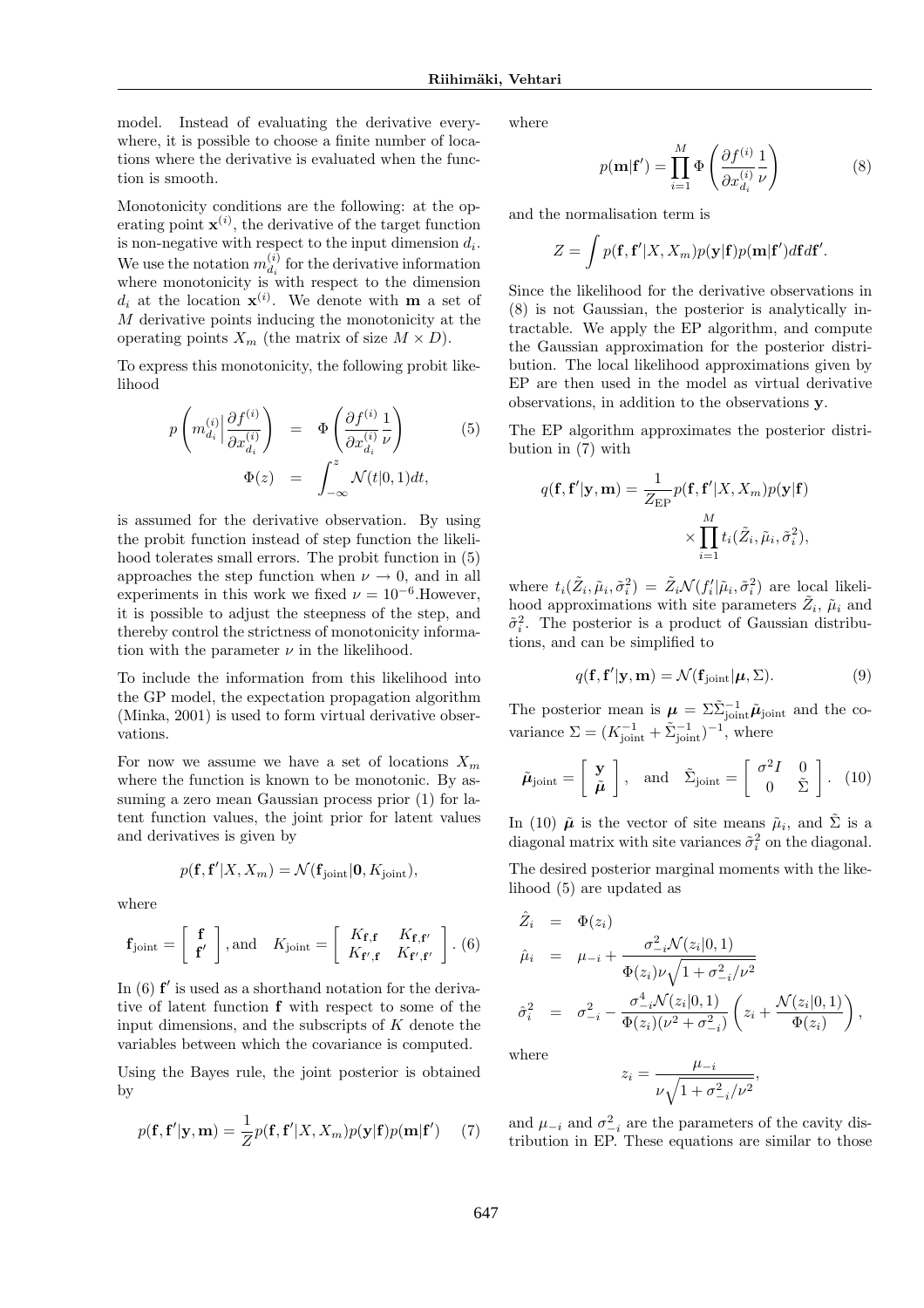model. Instead of evaluating the derivative everywhere, it is possible to choose a finite number of locations where the derivative is evaluated when the function is smooth.

Monotonicity conditions are the following: at the operating point  $\mathbf{x}^{(i)}$ , the derivative of the target function is non-negative with respect to the input dimension  $d_i$ . We use the notation  $m_{d_i}^{(i)}$  $d_i^{(i)}$  for the derivative information where monotonicity is with respect to the dimension  $d_i$  at the location  $\mathbf{x}^{(i)}$ . We denote with **m** a set of M derivative points inducing the monotonicity at the operating points  $X_m$  (the matrix of size  $M \times D$ ).

To express this monotonicity, the following probit likelihood

$$
p\left(m_{d_i}^{(i)}\Big|\frac{\partial f^{(i)}}{\partial x_{d_i}^{(i)}}\right) = \Phi\left(\frac{\partial f^{(i)}}{\partial x_{d_i}^{(i)}}\frac{1}{\nu}\right)
$$
(5)  

$$
\Phi(z) = \int_{-\infty}^{z} \mathcal{N}(t|0,1)dt,
$$

is assumed for the derivative observation. By using the probit function instead of step function the likelihood tolerates small errors. The probit function in (5) approaches the step function when  $\nu \rightarrow 0$ , and in all experiments in this work we fixed  $\nu = 10^{-6}$ . However, it is possible to adjust the steepness of the step, and thereby control the strictness of monotonicity information with the parameter  $\nu$  in the likelihood.

To include the information from this likelihood into the GP model, the expectation propagation algorithm (Minka, 2001) is used to form virtual derivative observations.

For now we assume we have a set of locations  $X_m$ where the function is known to be monotonic. By assuming a zero mean Gaussian process prior (1) for latent function values, the joint prior for latent values and derivatives is given by

$$
p(\mathbf{f}, \mathbf{f}' | X, X_m) = \mathcal{N}(\mathbf{f}_{\text{joint}} | \mathbf{0}, K_{\text{joint}}),
$$

where

$$
\mathbf{f}_{\text{joint}} = \left[ \begin{array}{c} \mathbf{f} \\ \mathbf{f}' \end{array} \right], \text{and} \quad K_{\text{joint}} = \left[ \begin{array}{cc} K_{\mathbf{f}, \mathbf{f}} & K_{\mathbf{f}, \mathbf{f}'} \\ K_{\mathbf{f}', \mathbf{f}} & K_{\mathbf{f}', \mathbf{f}'} \end{array} \right].
$$
 (6)

In  $(6)$   $f'$  is used as a shorthand notation for the derivative of latent function f with respect to some of the input dimensions, and the subscripts of  $K$  denote the variables between which the covariance is computed.

Using the Bayes rule, the joint posterior is obtained by

$$
p(\mathbf{f}, \mathbf{f}'|\mathbf{y}, \mathbf{m}) = \frac{1}{Z} p(\mathbf{f}, \mathbf{f}'|X, X_m) p(\mathbf{y}|\mathbf{f}) p(\mathbf{m}|\mathbf{f}') \tag{7}
$$

where

$$
p(\mathbf{m}|\mathbf{f}') = \prod_{i=1}^{M} \Phi\left(\frac{\partial f^{(i)}}{\partial x_{d_i}^{(i)}} \frac{1}{\nu}\right)
$$
(8)

and the normalisation term is

$$
Z = \int p(\mathbf{f}, \mathbf{f}' | X, X_m) p(\mathbf{y} | \mathbf{f}) p(\mathbf{m} | \mathbf{f}') d\mathbf{f} d\mathbf{f}'.
$$

Since the likelihood for the derivative observations in (8) is not Gaussian, the posterior is analytically intractable. We apply the EP algorithm, and compute the Gaussian approximation for the posterior distribution. The local likelihood approximations given by EP are then used in the model as virtual derivative observations, in addition to the observations y.

The EP algorithm approximates the posterior distribution in (7) with

$$
q(\mathbf{f}, \mathbf{f}'|\mathbf{y}, \mathbf{m}) = \frac{1}{Z_{\text{EP}}} p(\mathbf{f}, \mathbf{f}'|X, X_m) p(\mathbf{y}|\mathbf{f})
$$

$$
\times \prod_{i=1}^{M} t_i(\tilde{Z}_i, \tilde{\mu}_i, \tilde{\sigma}_i^2),
$$

where  $t_i(\tilde{Z}_i, \tilde{\mu}_i, \tilde{\sigma}_i^2) = \tilde{Z}_i \mathcal{N}(f'_i | \tilde{\mu}_i, \tilde{\sigma}_i^2)$  are local likelihood approximations with site parameters  $\tilde{Z}_i$ ,  $\tilde{\mu}_i$  and  $\tilde{\sigma}_i^2$ . The posterior is a product of Gaussian distributions, and can be simplified to

$$
q(\mathbf{f}, \mathbf{f}'|\mathbf{y}, \mathbf{m}) = \mathcal{N}(\mathbf{f}_{\text{joint}}|\boldsymbol{\mu}, \boldsymbol{\Sigma}).
$$
\n(9)

The posterior mean is  $\mu = \sum_{i=1}^{\infty} \tilde{\mu}_{joint}$  and the covariance  $\Sigma = (K_{\text{joint}}^{-1} + \tilde{\Sigma}_{\text{joint}}^{-1})^{-1}$ , where

$$
\tilde{\boldsymbol{\mu}}_{\text{joint}} = \left[ \begin{array}{c} \mathbf{y} \\ \tilde{\boldsymbol{\mu}} \end{array} \right], \quad \text{and} \quad \tilde{\Sigma}_{\text{joint}} = \left[ \begin{array}{cc} \sigma^2 I & 0 \\ 0 & \tilde{\Sigma} \end{array} \right]. \tag{10}
$$

In (10)  $\tilde{\mu}$  is the vector of site means  $\tilde{\mu}_i$ , and  $\tilde{\Sigma}$  is a diagonal matrix with site variances  $\tilde{\sigma}_i^2$  on the diagonal.

The desired posterior marginal moments with the likelihood (5) are updated as

$$
\hat{Z}_i = \Phi(z_i) \n\hat{\mu}_i = \mu_{-i} + \frac{\sigma_{-i}^2 \mathcal{N}(z_i|0, 1)}{\Phi(z_i)\nu\sqrt{1 + \sigma_{-i}^2/\nu^2}} \n\hat{\sigma}_i^2 = \sigma_{-i}^2 - \frac{\sigma_{-i}^4 \mathcal{N}(z_i|0, 1)}{\Phi(z_i)(\nu^2 + \sigma_{-i}^2)} \left(z_i + \frac{\mathcal{N}(z_i|0, 1)}{\Phi(z_i)}\right),
$$

where

$$
z_i = \frac{\mu_{-i}}{\nu \sqrt{1 + \sigma_{-i}^2/\nu^2}},
$$

and  $\mu_{-i}$  and  $\sigma_{-i}^2$  are the parameters of the cavity distribution in EP. These equations are similar to those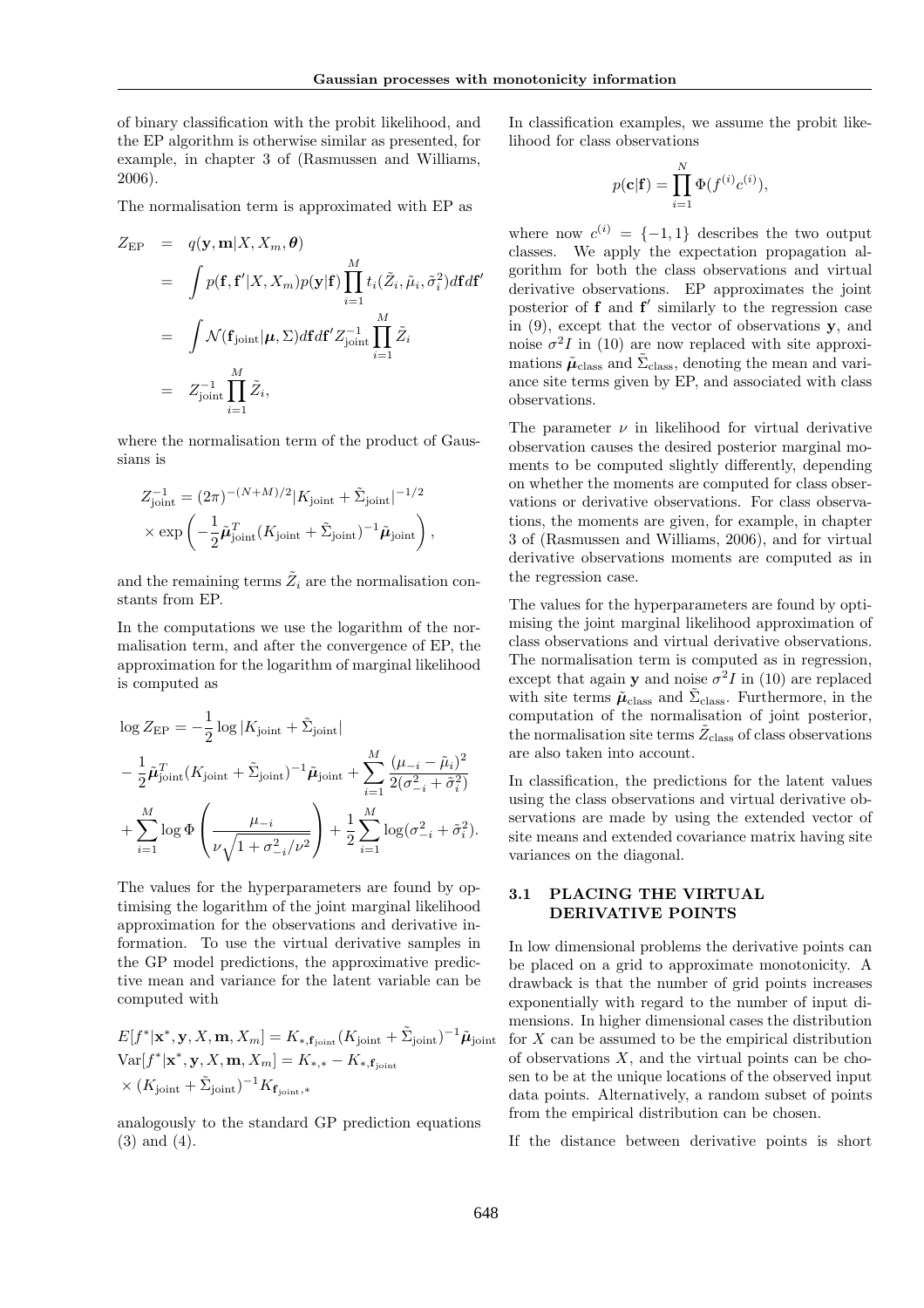of binary classification with the probit likelihood, and the EP algorithm is otherwise similar as presented, for example, in chapter 3 of (Rasmussen and Williams, 2006).

The normalisation term is approximated with EP as

$$
Z_{\rm EP} = q(\mathbf{y}, \mathbf{m}|X, X_m, \boldsymbol{\theta})
$$
  
\n
$$
= \int p(\mathbf{f}, \mathbf{f}'|X, X_m) p(\mathbf{y}|\mathbf{f}) \prod_{i=1}^M t_i(\tilde{Z}_i, \tilde{\mu}_i, \tilde{\sigma}_i^2) d\mathbf{f} d\mathbf{f}'
$$
  
\n
$$
= \int \mathcal{N}(\mathbf{f}_{\text{joint}}|\boldsymbol{\mu}, \Sigma) d\mathbf{f} d\mathbf{f}' Z_{\text{joint}}^{-1} \prod_{i=1}^M \tilde{Z}_i
$$
  
\n
$$
= Z_{\text{joint}}^{-1} \prod_{i=1}^M \tilde{Z}_i,
$$

where the normalisation term of the product of Gaussians is

$$
Z_{\text{joint}}^{-1} = (2\pi)^{-(N+M)/2} |K_{\text{joint}} + \tilde{\Sigma}_{\text{joint}}|^{-1/2}
$$

$$
\times \exp\left(-\frac{1}{2}\tilde{\boldsymbol{\mu}}_{\text{joint}}^T (K_{\text{joint}} + \tilde{\Sigma}_{\text{joint}})^{-1} \tilde{\boldsymbol{\mu}}_{\text{joint}}\right),
$$

and the remaining terms  $\tilde{Z}_i$  are the normalisation constants from EP.

In the computations we use the logarithm of the normalisation term, and after the convergence of EP, the approximation for the logarithm of marginal likelihood is computed as

$$
\log Z_{\rm EP} = -\frac{1}{2} \log |K_{\rm joint} + \tilde{\Sigma}_{\rm joint}|
$$
  

$$
- \frac{1}{2} \tilde{\mu}_{\rm joint}^T (K_{\rm joint} + \tilde{\Sigma}_{\rm joint})^{-1} \tilde{\mu}_{\rm joint} + \sum_{i=1}^M \frac{(\mu_{-i} - \tilde{\mu}_i)^2}{2(\sigma_{-i}^2 + \tilde{\sigma}_i^2)}
$$
  

$$
+ \sum_{i=1}^M \log \Phi \left( \frac{\mu_{-i}}{\nu \sqrt{1 + \sigma_{-i}^2/\nu^2}} \right) + \frac{1}{2} \sum_{i=1}^M \log(\sigma_{-i}^2 + \tilde{\sigma}_i^2).
$$

The values for the hyperparameters are found by optimising the logarithm of the joint marginal likelihood approximation for the observations and derivative information. To use the virtual derivative samples in the GP model predictions, the approximative predictive mean and variance for the latent variable can be computed with

$$
E[f^*|\mathbf{x}^*, \mathbf{y}, X, \mathbf{m}, X_m] = K_{*, \mathbf{f}_{\text{joint}}}(K_{\text{joint}} + \tilde{\Sigma}_{\text{joint}})^{-1} \tilde{\boldsymbol{\mu}}_{\text{joint}}
$$
  
Var[f^\*|\mathbf{x}^\*, \mathbf{y}, X, \mathbf{m}, X\_m] = K\_{\*, \*} - K\_{\*, \mathbf{f}\_{\text{joint}}}  

$$
\times (K_{\text{joint}} + \tilde{\Sigma}_{\text{joint}})^{-1} K_{\mathbf{f}_{\text{joint}, *}}
$$

analogously to the standard GP prediction equations (3) and (4).

In classification examples, we assume the probit likelihood for class observations

$$
p(\mathbf{c}|\mathbf{f}) = \prod_{i=1}^{N} \Phi(f^{(i)}c^{(i)}),
$$

where now  $c^{(i)} = \{-1,1\}$  describes the two output classes. We apply the expectation propagation algorithm for both the class observations and virtual derivative observations. EP approximates the joint posterior of  $f$  and  $f'$  similarly to the regression case in  $(9)$ , except that the vector of observations y, and noise  $\sigma^2 I$  in (10) are now replaced with site approximations  $\tilde{\mu}_{\text{class}}$  and  $\tilde{\Sigma}_{\text{class}}$ , denoting the mean and variance site terms given by EP, and associated with class observations.

The parameter  $\nu$  in likelihood for virtual derivative observation causes the desired posterior marginal moments to be computed slightly differently, depending on whether the moments are computed for class observations or derivative observations. For class observations, the moments are given, for example, in chapter 3 of (Rasmussen and Williams, 2006), and for virtual derivative observations moments are computed as in the regression case.

The values for the hyperparameters are found by optimising the joint marginal likelihood approximation of class observations and virtual derivative observations. The normalisation term is computed as in regression, except that again **y** and noise  $\sigma^2 I$  in (10) are replaced with site terms  $\tilde{\mu}_{\text{class}}$  and  $\tilde{\Sigma}_{\text{class}}$ . Furthermore, in the computation of the normalisation of joint posterior, the normalisation site terms  $\tilde{Z}_{\text{class}}$  of class observations are also taken into account.

In classification, the predictions for the latent values using the class observations and virtual derivative observations are made by using the extended vector of site means and extended covariance matrix having site variances on the diagonal.

## 3.1 PLACING THE VIRTUAL DERIVATIVE POINTS

In low dimensional problems the derivative points can be placed on a grid to approximate monotonicity. A drawback is that the number of grid points increases exponentially with regard to the number of input dimensions. In higher dimensional cases the distribution  $f$  for X can be assumed to be the empirical distribution of observations  $X$ , and the virtual points can be chosen to be at the unique locations of the observed input data points. Alternatively, a random subset of points from the empirical distribution can be chosen.

If the distance between derivative points is short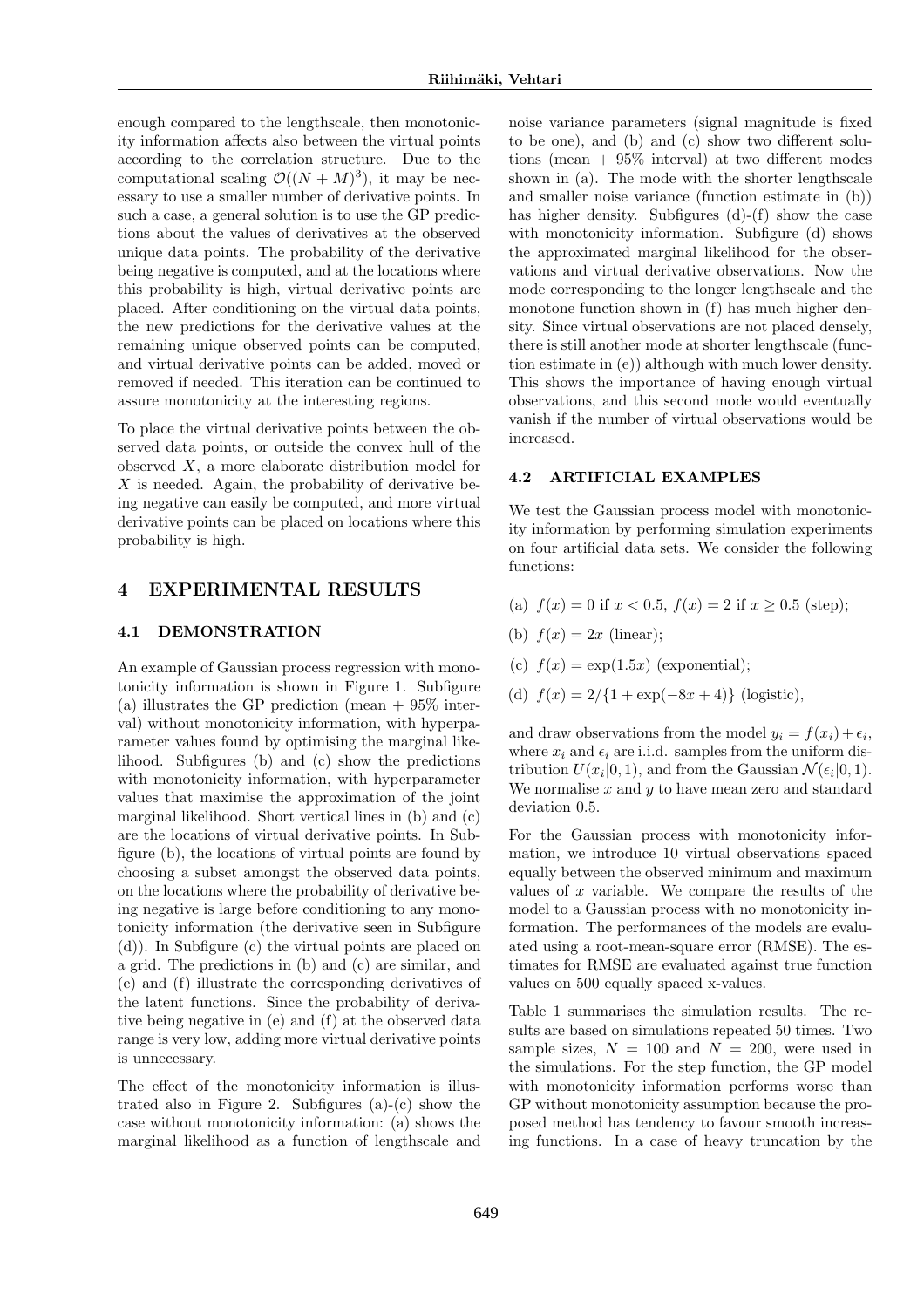enough compared to the lengthscale, then monotonicity information affects also between the virtual points according to the correlation structure. Due to the computational scaling  $\mathcal{O}((N+M)^3)$ , it may be necessary to use a smaller number of derivative points. In such a case, a general solution is to use the GP predictions about the values of derivatives at the observed unique data points. The probability of the derivative being negative is computed, and at the locations where this probability is high, virtual derivative points are placed. After conditioning on the virtual data points, the new predictions for the derivative values at the remaining unique observed points can be computed, and virtual derivative points can be added, moved or removed if needed. This iteration can be continued to assure monotonicity at the interesting regions.

To place the virtual derivative points between the observed data points, or outside the convex hull of the observed X, a more elaborate distribution model for  $X$  is needed. Again, the probability of derivative being negative can easily be computed, and more virtual derivative points can be placed on locations where this probability is high.

## 4 EXPERIMENTAL RESULTS

#### 4.1 DEMONSTRATION

An example of Gaussian process regression with monotonicity information is shown in Figure 1. Subfigure (a) illustrates the GP prediction (mean  $+$  95% interval) without monotonicity information, with hyperparameter values found by optimising the marginal likelihood. Subfigures (b) and (c) show the predictions with monotonicity information, with hyperparameter values that maximise the approximation of the joint marginal likelihood. Short vertical lines in (b) and (c) are the locations of virtual derivative points. In Subfigure (b), the locations of virtual points are found by choosing a subset amongst the observed data points, on the locations where the probability of derivative being negative is large before conditioning to any monotonicity information (the derivative seen in Subfigure (d)). In Subfigure (c) the virtual points are placed on a grid. The predictions in (b) and (c) are similar, and (e) and (f) illustrate the corresponding derivatives of the latent functions. Since the probability of derivative being negative in (e) and (f) at the observed data range is very low, adding more virtual derivative points is unnecessary.

The effect of the monotonicity information is illustrated also in Figure 2. Subfigures  $(a)-(c)$  show the case without monotonicity information: (a) shows the marginal likelihood as a function of lengthscale and noise variance parameters (signal magnitude is fixed to be one), and (b) and (c) show two different solutions (mean  $+ 95\%$  interval) at two different modes shown in (a). The mode with the shorter lengthscale and smaller noise variance (function estimate in (b)) has higher density. Subfigures (d)-(f) show the case with monotonicity information. Subfigure (d) shows the approximated marginal likelihood for the observations and virtual derivative observations. Now the mode corresponding to the longer lengthscale and the monotone function shown in (f) has much higher density. Since virtual observations are not placed densely, there is still another mode at shorter lengthscale (function estimate in (e)) although with much lower density. This shows the importance of having enough virtual observations, and this second mode would eventually vanish if the number of virtual observations would be increased.

#### 4.2 ARTIFICIAL EXAMPLES

We test the Gaussian process model with monotonicity information by performing simulation experiments on four artificial data sets. We consider the following functions:

- (a)  $f(x) = 0$  if  $x < 0.5$ ,  $f(x) = 2$  if  $x > 0.5$  (step);
- (b)  $f(x) = 2x$  (linear);
- (c)  $f(x) = \exp(1.5x)$  (exponential);
- (d)  $f(x) = 2/{1 + \exp(-8x + 4)}$  (logistic),

and draw observations from the model  $y_i = f(x_i) + \epsilon_i$ , where  $x_i$  and  $\epsilon_i$  are i.i.d. samples from the uniform distribution  $U(x_i|0,1)$ , and from the Gaussian  $\mathcal{N}(\epsilon_i|0,1)$ . We normalise  $x$  and  $y$  to have mean zero and standard deviation 0.5.

For the Gaussian process with monotonicity information, we introduce 10 virtual observations spaced equally between the observed minimum and maximum values of  $x$  variable. We compare the results of the model to a Gaussian process with no monotonicity information. The performances of the models are evaluated using a root-mean-square error (RMSE). The estimates for RMSE are evaluated against true function values on 500 equally spaced x-values.

Table 1 summarises the simulation results. The results are based on simulations repeated 50 times. Two sample sizes,  $N = 100$  and  $N = 200$ , were used in the simulations. For the step function, the GP model with monotonicity information performs worse than GP without monotonicity assumption because the proposed method has tendency to favour smooth increasing functions. In a case of heavy truncation by the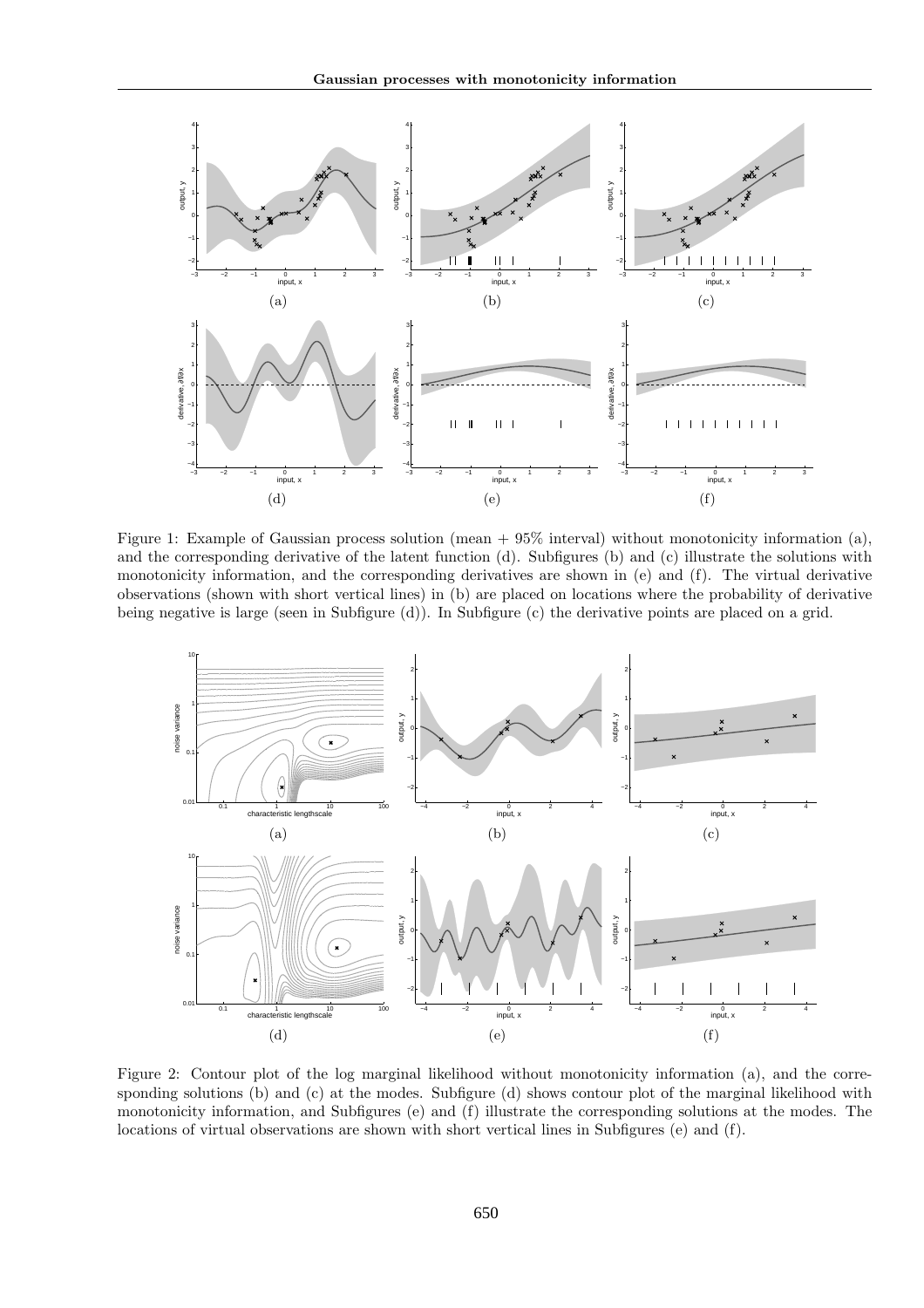

Figure 1: Example of Gaussian process solution (mean  $+ 95\%$  interval) without monotonicity information (a), and the corresponding derivative of the latent function (d). Subfigures (b) and (c) illustrate the solutions with monotonicity information, and the corresponding derivatives are shown in (e) and (f). The virtual derivative observations (shown with short vertical lines) in (b) are placed on locations where the probability of derivative being negative is large (seen in Subfigure (d)). In Subfigure (c) the derivative points are placed on a grid.



Figure 2: Contour plot of the log marginal likelihood without monotonicity information (a), and the corresponding solutions (b) and (c) at the modes. Subfigure (d) shows contour plot of the marginal likelihood with monotonicity information, and Subfigures (e) and (f) illustrate the corresponding solutions at the modes. The locations of virtual observations are shown with short vertical lines in Subfigures (e) and (f).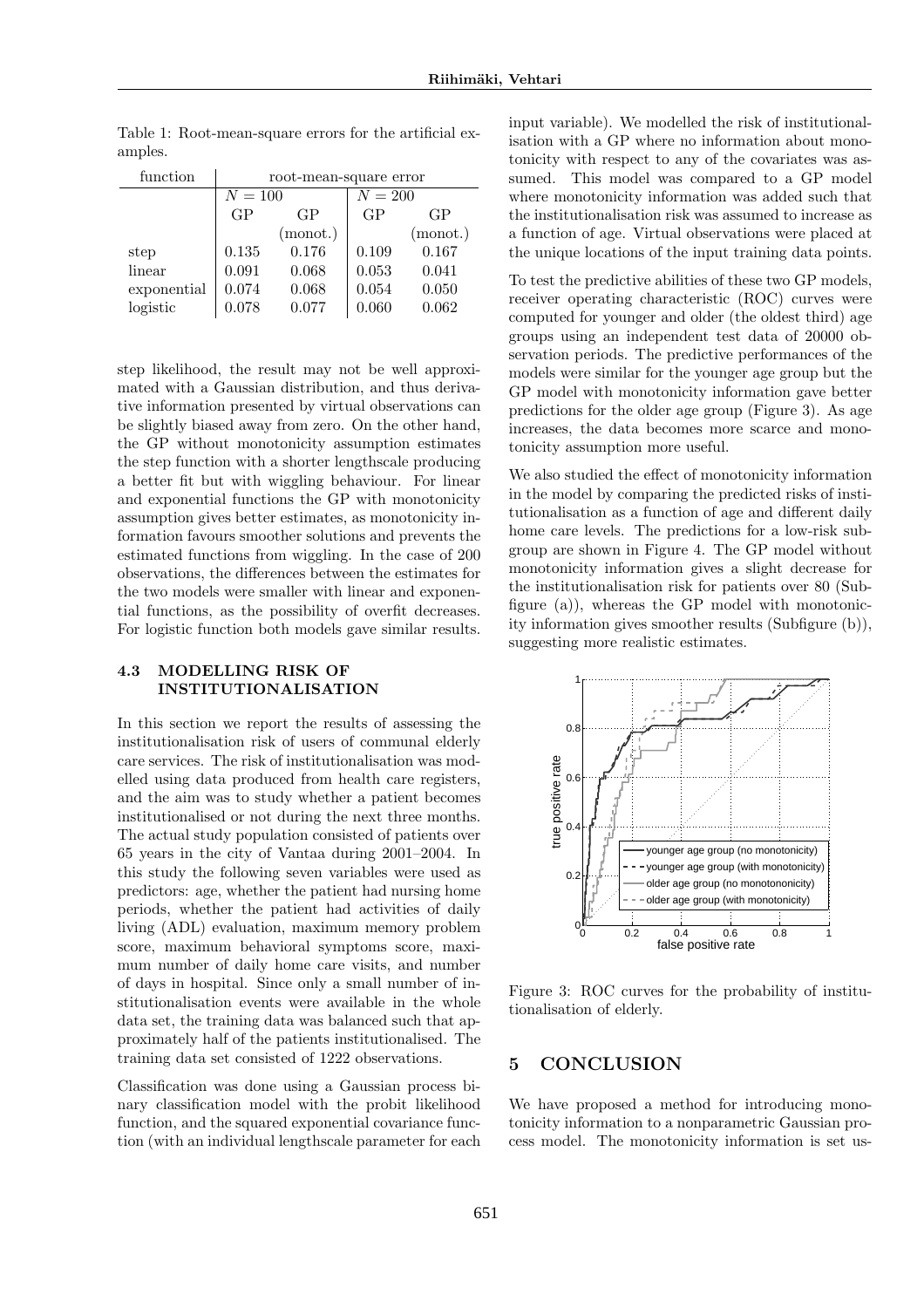| function    | root-mean-square error |          |           |          |
|-------------|------------------------|----------|-----------|----------|
|             | $N = 100$              |          | $N = 200$ |          |
|             | GP                     | GP       | GP        | GP       |
|             |                        | (monot.) |           | (monot.) |
| step        | 0.135                  | 0.176    | 0.109     | 0.167    |
| linear      | 0.091                  | 0.068    | 0.053     | 0.041    |
| exponential | 0.074                  | 0.068    | 0.054     | 0.050    |
| logistic    | 0.078                  | 0.077    | 0.060     | 0.062    |

Table 1: Root-mean-square errors for the artificial examples.

step likelihood, the result may not be well approximated with a Gaussian distribution, and thus derivative information presented by virtual observations can be slightly biased away from zero. On the other hand, the GP without monotonicity assumption estimates the step function with a shorter lengthscale producing a better fit but with wiggling behaviour. For linear and exponential functions the GP with monotonicity assumption gives better estimates, as monotonicity information favours smoother solutions and prevents the estimated functions from wiggling. In the case of 200 observations, the differences between the estimates for the two models were smaller with linear and exponential functions, as the possibility of overfit decreases. For logistic function both models gave similar results.

### 4.3 MODELLING RISK OF INSTITUTIONALISATION

In this section we report the results of assessing the institutionalisation risk of users of communal elderly care services. The risk of institutionalisation was modelled using data produced from health care registers, and the aim was to study whether a patient becomes institutionalised or not during the next three months. The actual study population consisted of patients over 65 years in the city of Vantaa during 2001–2004. In this study the following seven variables were used as predictors: age, whether the patient had nursing home periods, whether the patient had activities of daily living (ADL) evaluation, maximum memory problem score, maximum behavioral symptoms score, maximum number of daily home care visits, and number of days in hospital. Since only a small number of institutionalisation events were available in the whole data set, the training data was balanced such that approximately half of the patients institutionalised. The training data set consisted of 1222 observations.

Classification was done using a Gaussian process binary classification model with the probit likelihood function, and the squared exponential covariance function (with an individual lengthscale parameter for each input variable). We modelled the risk of institutionalisation with a GP where no information about monotonicity with respect to any of the covariates was assumed. This model was compared to a GP model where monotonicity information was added such that the institutionalisation risk was assumed to increase as a function of age. Virtual observations were placed at the unique locations of the input training data points.

To test the predictive abilities of these two GP models, receiver operating characteristic (ROC) curves were computed for younger and older (the oldest third) age groups using an independent test data of 20000 observation periods. The predictive performances of the models were similar for the younger age group but the GP model with monotonicity information gave better predictions for the older age group (Figure 3). As age increases, the data becomes more scarce and monotonicity assumption more useful.

We also studied the effect of monotonicity information in the model by comparing the predicted risks of institutionalisation as a function of age and different daily home care levels. The predictions for a low-risk subgroup are shown in Figure 4. The GP model without monotonicity information gives a slight decrease for the institutionalisation risk for patients over 80 (Subfigure (a)), whereas the GP model with monotonicity information gives smoother results (Subfigure (b)), suggesting more realistic estimates.



Figure 3: ROC curves for the probability of institutionalisation of elderly.

## 5 CONCLUSION

We have proposed a method for introducing monotonicity information to a nonparametric Gaussian process model. The monotonicity information is set us-